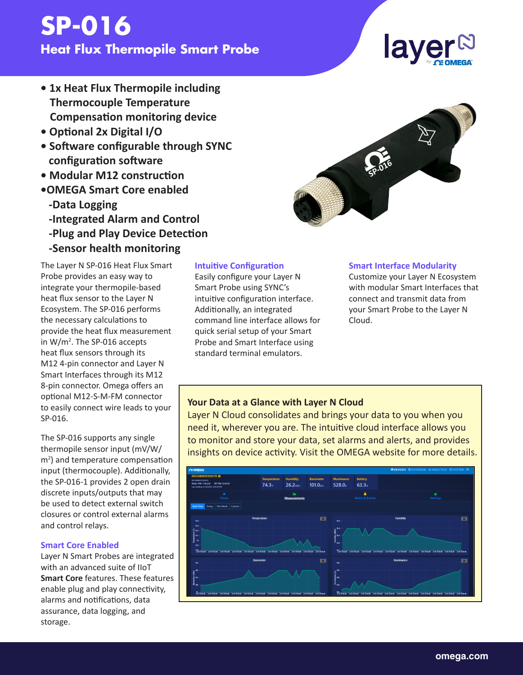# **SP-016 Heat Flux Thermopile Smart Probe**

# **• 1x Heat Flux Thermopile including Thermocouple Temperature Compensation monitoring device**

- **Optional 2x Digital I/O**
- **Software configurable through SYNC configuration software**
- **Modular M12 construction**
- **•OMEGA Smart Core enabled -Data Logging**
	- **-Integrated Alarm and Control**
	- **-Plug and Play Device Detection**
	- **-Sensor health monitoring**

The Layer N SP-016 Heat Flux Smart Probe provides an easy way to integrate your thermopile-based heat flux sensor to the Layer N Ecosystem. The SP-016 performs the necessary calculations to provide the heat flux measurement in W/m<sup>2</sup>. The SP-016 accepts heat flux sensors through its M12 4-pin connector and Layer N Smart Interfaces through its M12 8-pin connector. Omega offers an optional M12-S-M-FM connector to easily connect wire leads to your SP-016.

The SP-016 supports any single thermopile sensor input (mV/W/ m<sup>2</sup>) and temperature compensation input (thermocouple). Additionally, the SP-016-1 provides 2 open drain discrete inputs/outputs that may be used to detect external switch closures or control external alarms and control relays.

#### **Smart Core Enabled**

Layer N Smart Probes are integrated with an advanced suite of IIoT **Smart Core** features. These features enable plug and play connectivity, alarms and notifications, data assurance, data logging, and storage.

#### **Intuitive Configuration**

Easily configure your Layer N Smart Probe using SYNC's intuitive configuration interface. Additionally, an integrated command line interface allows for quick serial setup of your Smart Probe and Smart Interface using standard terminal emulators.

#### **Smart Interface Modularity**

Customize your Layer N Ecosystem with modular Smart Interfaces that connect and transmit data from your Smart Probe to the Layer N Cloud.

#### **Your Data at a Glance with Layer N Cloud**

Layer N Cloud consolidates and brings your data to you when you need it, wherever you are. The intuitive cloud interface allows you to monitor and store your data, set alarms and alerts, and provides insights on device activity. Visit the OMEGA website for more details.





# laye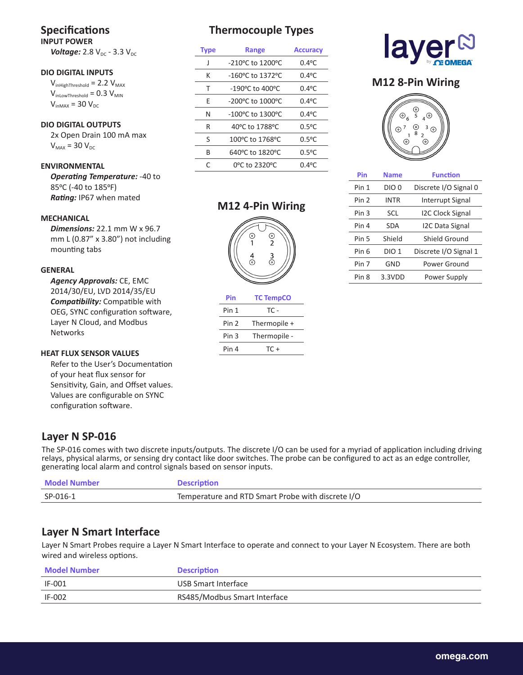# **Specifications**

**INPUT POWER** *Voltage:* 2.8 V<sub>DC</sub> - 3.3 V<sub>DC</sub>

#### **DIO DIGITAL INPUTS**

 $V_{inHighThreshold} = 2.2 V_{MAX}$  $V_{\text{inLowThreshold}} = 0.3 V_{\text{MIN}}$  $V_{inMAX}$  = 30  $V_{DC}$ 

#### **DIO DIGITAL OUTPUTS**

 2x Open Drain 100 mA max  $V_{MAX}$  = 30  $V_{DC}$ 

#### **ENVIRONMENTAL**

 *Operating Temperature:* -40 to 85°C (-40 to 185°F) *Rating:* IP67 when mated

#### **MECHANICAL**

 *Dimensions:* 22.1 mm W x 96.7 mm L (0.87" x 3.80") not including mounting tabs

#### **GENERAL**

 *Agency Approvals:* CE, EMC 2014/30/EU, LVD 2014/35/EU *Compatibility:* Compatible with OEG, SYNC configuration software, Layer N Cloud, and Modbus **Networks** 

#### **HEAT FLUX SENSOR VALUES**

 Refer to the User's Documentation of your heat flux sensor for Sensitivity, Gain, and Offset values. Values are configurable on SYNC configuration software.

## **Thermocouple Types**

| <b>Type</b> | Range                                | <b>Accuracy</b> |
|-------------|--------------------------------------|-----------------|
| J           | -210°C to 1200°C                     | $0.4$ °C        |
| К           | -160°C to 1372°C                     | $0.4^{\circ}$ C |
| т           | $-190^{\circ}$ C to 400 $^{\circ}$ C | $0.4$ °C        |
| F           | -200°C to 1000°C                     | $0.4$ °C        |
| Ν           | -100°C to 1300°C                     | $0.4^{\circ}$ C |
| R           | 40°C to 1788°C                       | $0.5^{\circ}$ C |
| S           | 100°C to 1768°C                      | $0.5^{\circ}$ C |
| B           | 640°C to 1820°C                      | $0.5^{\circ}$ C |
| C           | 0°C to 2320°C                        | $0.4^{\circ}$ C |

#### **M12 4-Pin Wiring**



#### **Pin TC TempCO** Pin 1 TC -Pin 2 Thermopile + Pin 3 Thermopile -Pin  $4$  TC +



#### **M12 8-Pin Wiring**



| Pin              | <b>Name</b>      | <b>Function</b>         |
|------------------|------------------|-------------------------|
| Pin 1            | DIO 0            | Discrete I/O Signal 0   |
| Pin <sub>2</sub> | <b>INTR</b>      | Interrupt Signal        |
| Pin 3            | SCL              | <b>I2C Clock Signal</b> |
| Pin 4            | <b>SDA</b>       | I2C Data Signal         |
| Pin 5            | Shield           | Shield Ground           |
| Pin 6            | DIO <sub>1</sub> | Discrete I/O Signal 1   |
| Pin 7            | GND              | Power Ground            |
| Pin 8            | 3.3VDD           | Power Supply            |
|                  |                  |                         |

#### **Layer N SP-016**

The SP-016 comes with two discrete inputs/outputs. The discrete I/O can be used for a myriad of application including driving relays, physical alarms, or sensing dry contact like door switches. The probe can be configured to act as an edge controller, generating local alarm and control signals based on sensor inputs.

| <b>Model Number</b> | <b>Description</b>                                |
|---------------------|---------------------------------------------------|
| SP-016-1            | Temperature and RTD Smart Probe with discrete I/O |

### **Layer N Smart Interface**

Layer N Smart Probes require a Layer N Smart Interface to operate and connect to your Layer N Ecosystem. There are both wired and wireless options.

| Model Number | <b>Description</b>           |
|--------------|------------------------------|
| IF-001       | USB Smart Interface          |
| IF-002       | RS485/Modbus Smart Interface |